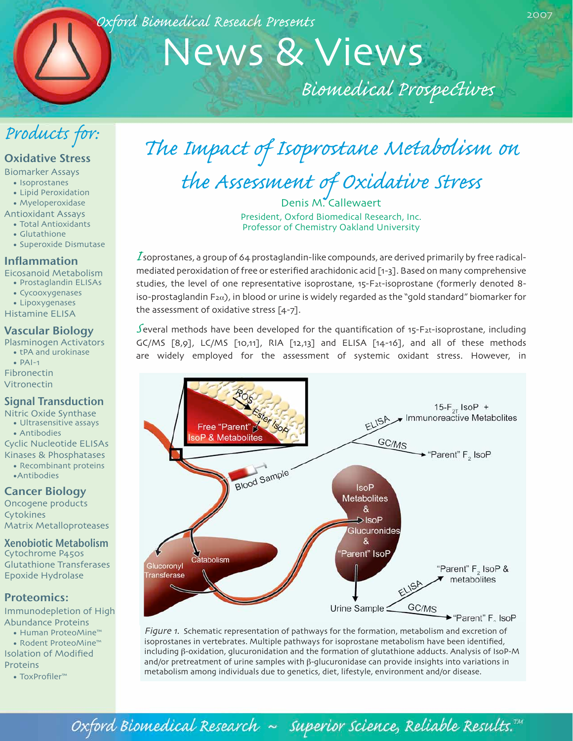# Oxford Biomedical Reseach Presents

News & Views

Biomedical Prospectives

# Products for:

#### **Oxidative Stress**

**Biomarker Assays** 

- · Isoprostanes
- Lipid Peroxidation
- Myeloperoxidase **Antioxidant Assays**
- · Total Antioxidants
- Glutathione
- · Superoxide Dismutase

#### **Inflammation**

- Eicosanoid Metabolism
- Prostaglandin ELISAs
- Cycooxygenases
- Lipoxygenases
- **Histamine ELISA**

#### **Vascular Biology**

Plasminogen Activators

- tPA and urokinase
- $\bullet$  PAI-1

Fibronectin

Vitronectin

#### **Signal Transduction**

- Nitric Oxide Synthase
- Ultrasensitive assays • Antibodies
- **Cyclic Nucleotide ELISAs**
- Kinases & Phosphatases • Recombinant proteins
	- Antibodies

### **Cancer Biology**

Oncogene products Cytokines **Matrix Metalloproteases** 

#### **Xenobiotic Metabolism** Cytochrome P450s Glutathione Transferases

Epoxide Hydrolase

## **Proteomics:**

Immunodepletion of High Abundance Proteins

- Human ProteoMine™
- Rodent ProteoMine™

**Isolation of Modified** Proteins

• ToxProfiler<sup>™</sup>

# The Impact of Isoprostane Metabolism on

the Assessment of Oxidative Stress

Denis M. Callewaert President, Oxford Biomedical Research, Inc. Professor of Chemistry Oakland University

 $I$ soprostanes, a group of 64 prostaglandin-like compounds, are derived primarily by free radicalmediated peroxidation of free or esterified arachidonic acid [1-3]. Based on many comprehensive studies, the level of one representative isoprostane, 15-F2t-isoprostane (formerly denoted 8iso-prostaglandin  $F_{2\alpha}$ ), in blood or urine is widely regarded as the "gold standard" biomarker for the assessment of oxidative stress [4-7].

Several methods have been developed for the quantification of  $15$ -F<sub>2</sub>t-isoprostane, including GC/MS [8,9], LC/MS [10,11], RIA [12,13] and ELISA [14-16], and all of these methods are widely employed for the assessment of systemic oxidant stress. However, in



Figure 1. Schematic representation of pathways for the formation, metabolism and excretion of isoprostanes in vertebrates. Multiple pathways for isoprostane metabolism have been identified, including  $\beta$ -oxidation, glucuronidation and the formation of glutathione adducts. Analysis of IsoP-M and/or pretreatment of urine samples with  $\beta$ -glucuronidase can provide insights into variations in metabolism among individuals due to genetics, diet, lifestyle, environment and/or disease.

Oxford Biomedical Research ~ Superior Science, Reliable Results.<sup>741</sup>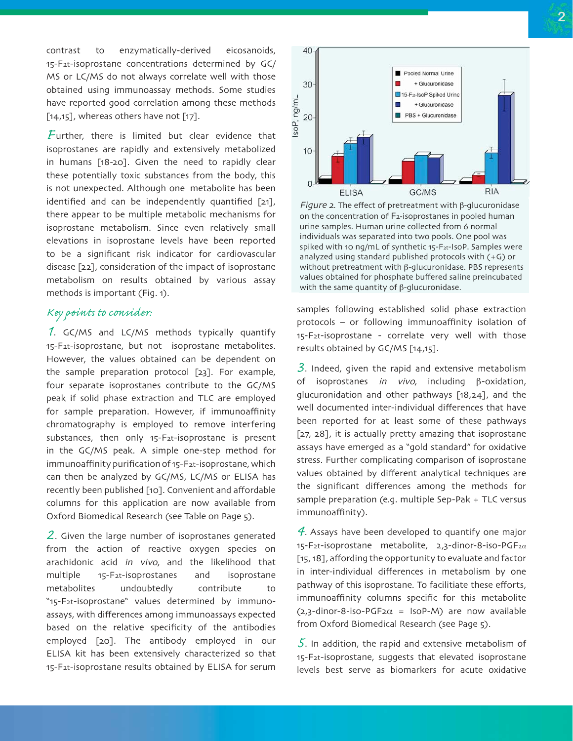contrast to enzymatically-derived eicosanoids, 15-F2t-isoprostane concentrations determined by GC/ MS or LC/MS do not always correlate well with those obtained using immunoassay methods. Some studies have reported good correlation among these methods  $[14,15]$ , whereas others have not  $[17]$ .

 $F$ urther, there is limited but clear evidence that isoprostanes are rapidly and extensively metabolized in humans  $[18-20]$ . Given the need to rapidly clear these potentially toxic substances from the body, this is not unexpected. Although one metabolite has been identified and can be independently quantified  $[21]$ , there appear to be multiple metabolic mechanisms for isoprostane metabolism. Since even relatively small elevations in isoprostane levels have been reported to be a significant risk indicator for cardiovascular disease [22], consideration of the impact of isoprostane metabolism on results obtained by various assay methods is important (Fig. 1).

#### Key points to consider:

1. GC/MS and LC/MS methods typically quantify 15-F2t-isoprostane, but not isoprostane metabolites. However, the values obtained can be dependent on the sample preparation protocol  $[23]$ . For example, four separate isoprostanes contribute to the GC/MS peak if solid phase extraction and TLC are employed for sample preparation. However, if immunoaffinity chromatography is employed to remove interfering substances, then only 15-F2t-isoprostane is present in the GC/MS peak. A simple one-step method for immunoaffinity purification of 15-F2t-isoprostane, which can then be analyzed by GC/MS, LC/MS or ELISA has recently been published [10]. Convenient and affordable columns for this application are now available from Oxford Biomedical Research (see Table on Page 5).

 $2.$  Given the large number of isoprostanes generated from the action of reactive oxygen species on arachidonic acid in vivo, and the likelihood that multiple 15-F2t-isoprostanes and isoprostane metabolites undoubtedly contribute to "15-F2t-isoprostane" values determined by immunoassays, with differences among immunoassays expected based on the relative specificity of the antibodies employed [20]. The antibody employed in our ELISA kit has been extensively characterized so that 15-F2t-isoprostane results obtained by ELISA for serum



Figure 2. The effect of pretreatment with  $\beta$ -glucuronidase on the concentration of F2-isoprostanes in pooled human urine samples. Human urine collected from 6 normal individuals was separated into two pools. One pool was spiked with 10 ng/mL of synthetic 15-F<sub>2t</sub>-IsoP. Samples were analyzed using standard published protocols with  $(+G)$  or without pretreatment with  $\beta$ -glucuronidase. PBS represents values obtained for phosphate buffered saline preincubated with the same quantity of  $\beta$ -glucuronidase.

samples following established solid phase extraction protocols  $-$  or following immunoaffinity isolation of 15-F2t-isoprostane - correlate very well with those results obtained by  $GC/MS$  [14,15].

 $3.$  Indeed, given the rapid and extensive metabolism of isoprostanes in vivo, including  $\beta$ -oxidation, glucuronidation and other pathways [18,24], and the well documented inter-individual differences that have been reported for at least some of these pathways [27, 28], it is actually pretty amazing that isoprostane assays have emerged as a "gold standard" for oxidative stress. Further complicating comparison of isoprostane values obtained by different analytical techniques are the significant differences among the methods for sample preparation (e.g. multiple Sep-Pak + TLC versus immunoaffinity).

 $4$ . Assays have been developed to quantify one major  $15-F2t$ -isoprostane metabolite,  $2,3$ -dinor-8-iso-PGF $2\alpha$ [15, 18], affording the opportunity to evaluate and factor in inter-individual differences in metabolism by one pathway of this isoprostane. To facilitiate these efforts, immunoaffinity columns specific for this metabolite  $(2,3$ -dinor-8-iso-PGF2 $\alpha$  = IsoP-M) are now available from Oxford Biomedical Research (see Page 5).

 $5.$  In addition, the rapid and extensive metabolism of 15-F<sub>2t</sub>-isoprostane, suggests that elevated isoprostane levels best serve as biomarkers for acute oxidative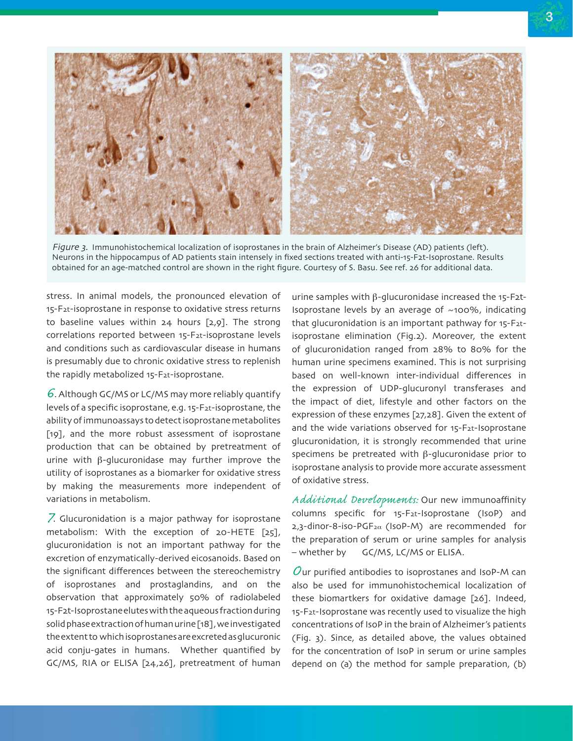

Figure 3. Immunohistochemical localization of isoprostanes in the brain of Alzheimer's Disease (AD) patients (left). Neurons in the hippocampus of AD patients stain intensely in fixed sections treated with anti-15-F2t-Isoprostane. Results obtained for an age-matched control are shown in the right figure. Courtesy of S. Basu. See ref. 26 for additional data.

stress. In animal models, the pronounced elevation of 15-F2t-isoprostane in response to oxidative stress returns to baseline values within  $24$  hours  $[2,9]$ . The strong correlations reported between 15-F2t-isoprostane levels and conditions such as cardiovascular disease in humans is presumably due to chronic oxidative stress to replenish the rapidly metabolized 15-F2t-isoprostane.

 $6.$  Although GC/MS or LC/MS may more reliably quantify levels of a specific isoprostane, e.g. 15-F2t-isoprostane, the ability of immunoassays to detect isoprostane metabolites [19], and the more robust assessment of isoprostane production that can be obtained by pretreatment of urine with  $\beta$ -glucuronidase may further improve the utility of isoprostanes as a biomarker for oxidative stress by making the measurements more independent of variations in metabolism.

7. Glucuronidation is a major pathway for isoprostane metabolism: With the exception of  $20-HETE$  [25], glucuronidation is not an important pathway for the excretion of enzymatically-derived eicosanoids. Based on the significant differences between the stereochemistry of isoprostanes and prostaglandins, and on the observation that approximately 50% of radiolabeled 15-F2t-Isoprostane elutes with the aqueous fraction during solid phase extraction of human urine [18], we investigated the extent to which isoprostanes are excreted as glucuronic acid conju-gates in humans. Whether quantified by GC/MS, RIA or ELISA [24,26], pretreatment of human

urine samples with  $\beta$ -glucuronidase increased the 15-F2t-Isoprostane levels by an average of  $~100\%$ , indicating that glucuronidation is an important pathway for 15-F2tisoprostane elimination (Fig.2). Moreover, the extent of glucuronidation ranged from 28% to 80% for the human urine specimens examined. This is not surprising based on well-known inter-individual differences in the expression of UDP-glucuronyl transferases and the impact of diet, lifestyle and other factors on the expression of these enzymes  $[27,28]$ . Given the extent of and the wide variations observed for 15-F2t-Isoprostane glucuronidation, it is strongly recommended that urine specimens be pretreated with  $\beta$ -glucuronidase prior to isoprostane analysis to provide more accurate assessment of oxidative stress-

Additional Developments: Our new immunoaffinity columns specific for 15-F2t-Isoprostane (IsoP) and  $2,3$ -dinor-8-iso-PGF<sub>2 $\alpha$ </sub> (IsoP-M) are recommended for the preparation of serum or urine samples for analysis - whether by GC/MS, LC/MS or ELISA.

 $\mathcal O$ ur purified antibodies to isoprostanes and IsoP-M can also be used for immunohistochemical localization of these biomartkers for oxidative damage [26]. Indeed, 15-F2t-Isoprostane was recently used to visualize the high concentrations of IsoP in the brain of Alzheimer<s patients (Fig. 3). Since, as detailed above, the values obtained for the concentration of IsoP in serum or urine samples depend on (a) the method for sample preparation,  $(b)$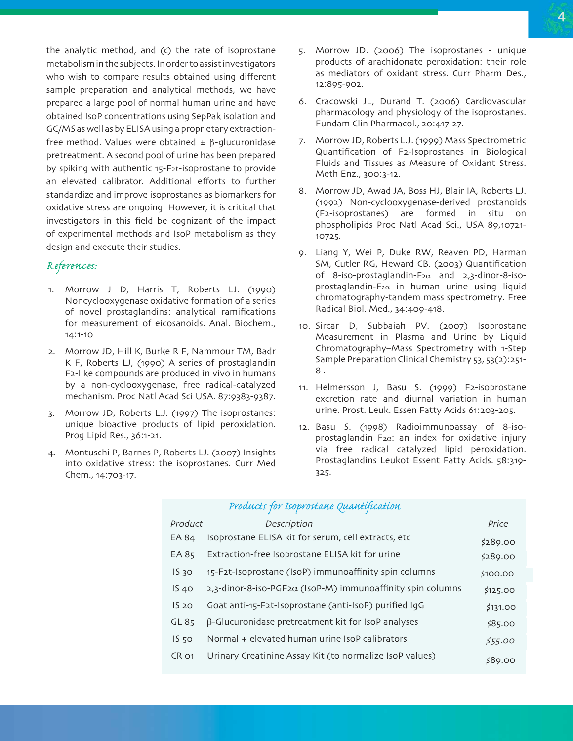the analytic method, and (c) the rate of isoprostane metabolism in the subjects. In order to assist investigators who wish to compare results obtained using different sample preparation and analytical methods, we have prepared a large pool of normal human urine and have obtained IsoP concentrations using SepPak isolation and GC/MS as well as by ELISA using a proprietary extractionfree method. Values were obtained  $\pm \beta$ -glucuronidase pretreatment. A second pool of urine has been prepared by spiking with authentic 15-F2t-isoprostane to provide an elevated calibrator. Additional efforts to further standardize and improve isoprostanes as biomarkers for oxidative stress are ongoing. However, it is critical that investigators in this field be cognizant of the impact of experimental methods and IsoP metabolism as they design and execute their studies.

#### References:

- 1. Morrow J D, Harris T, Roberts LJ. (1990) Noncyclooxygenase oxidative formation of a series of novel prostaglandins: analytical ramifications for measurement of eicosanoids. Anal. Biochem.,  $14:1-10$
- 2. Morrow JD, Hill K, Burke R F, Nammour TM, Badr K F, Roberts LJ, (1990) A series of prostaglandin F2-like compounds are produced in vivo in humans by a non-cyclooxygenase, free radical-catalyzed mechanism. Proc Natl Acad Sci USA. 87:9383-9387.
- 3. Morrow JD, Roberts L.J. (1997) The isoprostanes: unique bioactive products of lipid peroxidation. Prog Lipid Res., 36:1-21.
- 4. Montuschi P, Barnes P, Roberts LJ. (2007) Insights into oxidative stress: the isoprostanes. Curr Med Chem., 14:703-17.
- 5. Morrow JD. (2006) The isoprostanes unique products of arachidonate peroxidation: their role as mediators of oxidant stress. Curr Pharm Des., 12:895-902.
- 6. Cracowski JL, Durand T. (2006) Cardiovascular pharmacology and physiology of the isoprostanes. Fundam Clin Pharmacol., 20:417-27.
- 7. Morrow JD, Roberts L.J. (1999) Mass Spectrometric Quantification of F2-Isoprostanes in Biological Fluids and Tissues as Measure of Oxidant Stress. Meth Enz., 300:3-12.
- 8. Morrow JD, Awad JA, Boss HJ, Blair IA, Roberts LJ. (1992) Non-cyclooxygenase-derived prostanoids (F2-isoprostanes) are formed in situ on phospholipids Proc Natl Acad Sci., USA 89,10721-10725.
- 9. Liang Y, Wei P, Duke RW, Reaven PD, Harman SM, Cutler RG, Heward CB. (2003) Quantification of 8-iso-prostaglandin-F2a and 2,3-dinor-8-isoprostaglandin-F<sub>2 $\alpha$ </sub> in human urine using liquid chromatography-tandem mass spectrometry. Free Radical Biol. Med., 34:409-418.
- 10. Sircar D, Subbaiah PV. (2007) Isoprostane Measurement in Plasma and Urine by Liquid Chromatography-Mass Spectrometry with 1-Step Sample Preparation Clinical Chemistry 53, 53(2):251- $8$  .
- 11. Helmersson J, Basu S. (1999) F2-isoprostane excretion rate and diurnal variation in human urine. Prost. Leuk. Essen Fatty Acids 61:203-205.
- 12. Basu S. (1998) Radioimmunoassay of 8-isoprostaglandin F2a: an index for oxidative injury via free radical catalyzed lipid peroxidation. Prostaglandins Leukot Essent Fatty Acids. 58:319-325.

#### Products for Isoprostane Quantification

| Product          | Description                                                | Price    |
|------------------|------------------------------------------------------------|----------|
| EA 84            | Isoprostane ELISA kit for serum, cell extracts, etc        | 5289.00  |
| EA 85            | Extraction-free Isoprostane ELISA kit for urine            | 5289.00  |
| IS <sub>30</sub> | 15-F2t-Isoprostane (IsoP) immunoaffinity spin columns      | \$100.00 |
| $IS$ 40          | 2,3-dinor-8-iso-PGF2α (IsoP-M) immunoaffinity spin columns | \$125.00 |
| IS <sub>20</sub> | Goat anti-15-F2t-Isoprostane (anti-IsoP) purified IgG      | \$131.00 |
| GL 85            | $\beta$ -Glucuronidase pretreatment kit for IsoP analyses  | \$85.00  |
| $IS$ 50          | Normal + elevated human urine IsoP calibrators             | 555.00   |
| CR <sub>01</sub> | Urinary Creatinine Assay Kit (to normalize IsoP values)    | \$89.00  |
|                  |                                                            |          |